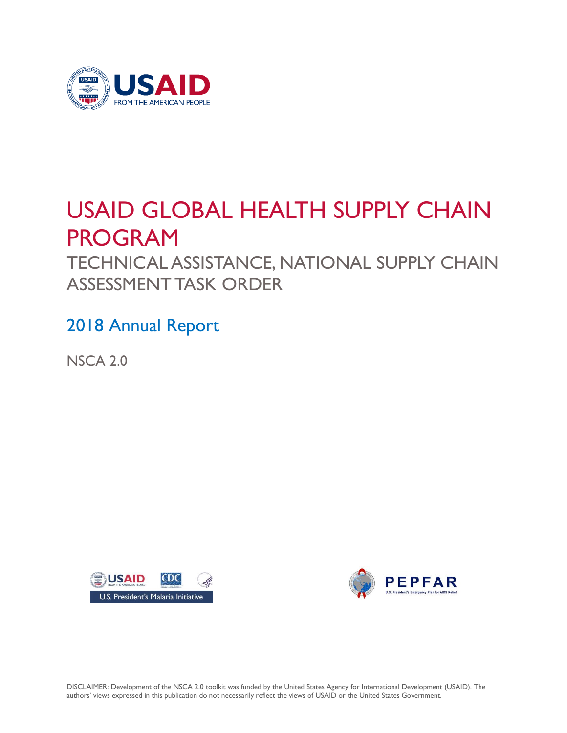

# USAID GLOBAL HEALTH SUPPLY CHAIN PROGRAM

TECHNICAL ASSISTANCE, NATIONAL SUPPLY CHAIN ASSESSMENT TASK ORDER

2018 Annual Report

NSCA 2.0





DISCLAIMER: Development of the NSCA 2.0 toolkit was funded by the United States Agency for International Development (USAID). The authors' views expressed in this publication do not necessarily reflect the views of USAID or the United States Government.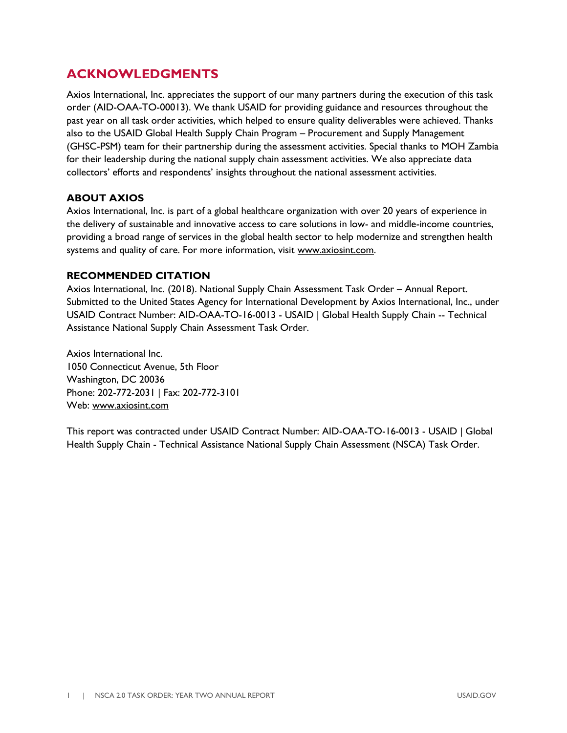## **ACKNOWLEDGMENTS**

Axios International, Inc. appreciates the support of our many partners during the execution of this task order (AID-OAA-TO-00013). We thank USAID for providing guidance and resources throughout the past year on all task order activities, which helped to ensure quality deliverables were achieved. Thanks also to the USAID Global Health Supply Chain Program – Procurement and Supply Management (GHSC-PSM) team for their partnership during the assessment activities. Special thanks to MOH Zambia for their leadership during the national supply chain assessment activities. We also appreciate data collectors' efforts and respondents' insights throughout the national assessment activities.

#### **ABOUT AXIOS**

Axios International, Inc. is part of a global healthcare organization with over 20 years of experience in the delivery of sustainable and innovative access to care solutions in low- and middle-income countries, providing a broad range of services in the global health sector to help modernize and strengthen health systems and quality of care. For more information, visit [www.axiosint.com.](http://www.axiosint.com/)

#### **RECOMMENDED CITATION**

Axios International, Inc. (2018). National Supply Chain Assessment Task Order – Annual Report. Submitted to the United States Agency for International Development by Axios International, Inc., under USAID Contract Number: AID-OAA-TO-16-0013 - USAID | Global Health Supply Chain -- Technical Assistance National Supply Chain Assessment Task Order.

Axios International Inc. 1050 Connecticut Avenue, 5th Floor Washington, DC 20036 Phone: 202-772-2031 | Fax: 202-772-3101 Web: [www.axiosint.com](http://www.axiosint.com/) 

This report was contracted under USAID Contract Number: AID-OAA-TO-16-0013 - USAID | Global Health Supply Chain - Technical Assistance National Supply Chain Assessment (NSCA) Task Order.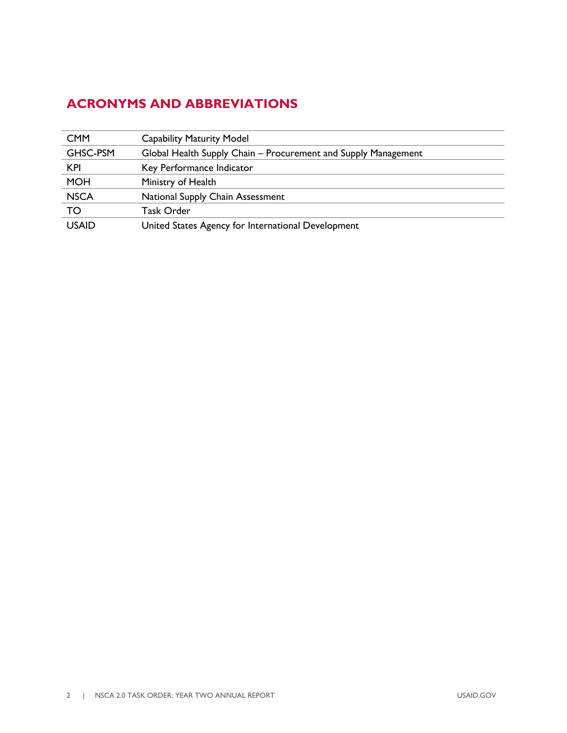# <span id="page-3-0"></span>**ACRONYMS AND ABBREVIATIONS**

| <b>CMM</b>   | <b>Capability Maturity Model</b>                               |
|--------------|----------------------------------------------------------------|
| GHSC-PSM     | Global Health Supply Chain – Procurement and Supply Management |
| <b>KPI</b>   | Key Performance Indicator                                      |
| <b>MOH</b>   | Ministry of Health                                             |
| <b>NSCA</b>  | National Supply Chain Assessment                               |
| TO           | Task Order                                                     |
| <b>USAID</b> | United States Agency for International Development             |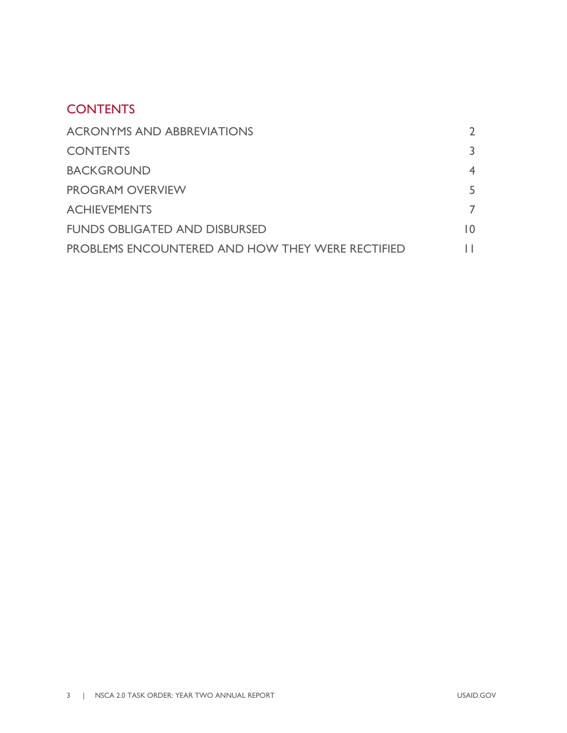#### <span id="page-4-0"></span>**CONTENTS**

| <b>ACRONYMS AND ABBREVIATIONS</b>                       |     |
|---------------------------------------------------------|-----|
| <b>CONTENTS</b>                                         | 3.  |
| <b>BACKGROUND</b>                                       |     |
| <b>PROGRAM OVERVIEW</b>                                 | 5.  |
| <b>ACHIEVEMENTS</b>                                     |     |
| <b>FUNDS OBLIGATED AND DISBURSED</b>                    | I O |
| <b>PROBLEMS ENCOUNTERED AND HOW THEY WERE RECTIFIED</b> |     |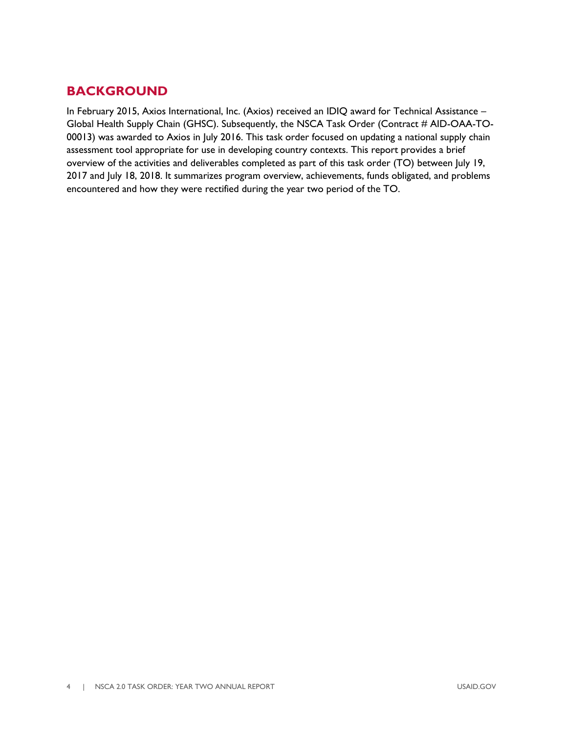## <span id="page-5-0"></span>**BACKGROUND**

In February 2015, Axios International, Inc. (Axios) received an IDIQ award for Technical Assistance – Global Health Supply Chain (GHSC). Subsequently, the NSCA Task Order (Contract # AID-OAA-TO-00013) was awarded to Axios in July 2016. This task order focused on updating a national supply chain assessment tool appropriate for use in developing country contexts. This report provides a brief overview of the activities and deliverables completed as part of this task order (TO) between July 19, 2017 and July 18, 2018. It summarizes program overview, achievements, funds obligated, and problems encountered and how they were rectified during the year two period of the TO.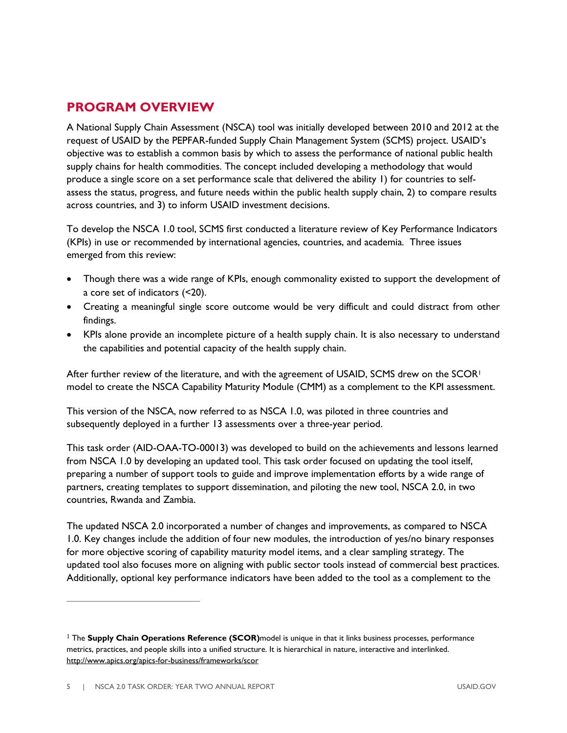## <span id="page-6-0"></span>**PROGRAM OVERVIEW**

A National Supply Chain Assessment (NSCA) tool was initially developed between 2010 and 2012 at the request of USAID by the PEPFAR-funded Supply Chain Management System (SCMS) project. USAID's objective was to establish a common basis by which to assess the performance of national public health supply chains for health commodities. The concept included developing a methodology that would produce a single score on a set performance scale that delivered the ability 1) for countries to selfassess the status, progress, and future needs within the public health supply chain, 2) to compare results across countries, and 3) to inform USAID investment decisions.

To develop the NSCA 1.0 tool, SCMS first conducted a literature review of Key Performance Indicators (KPIs) in use or recommended by international agencies, countries, and academia. Three issues emerged from this review:

- Though there was a wide range of KPIs, enough commonality existed to support the development of a core set of indicators (<20).
- Creating a meaningful single score outcome would be very difficult and could distract from other findings.
- KPIs alone provide an incomplete picture of a health supply chain. It is also necessary to understand the capabilities and potential capacity of the health supply chain.

After further review of the literature, and with the agreement of USAID, SCMS drew on the SCOR<sup>1</sup> model to create the NSCA Capability Maturity Module (CMM) as a complement to the KPI assessment.

This version of the NSCA, now referred to as NSCA 1.0, was piloted in three countries and subsequently deployed in a further 13 assessments over a three-year period.

This task order (AID-OAA-TO-00013) was developed to build on the achievements and lessons learned from NSCA 1.0 by developing an updated tool. This task order focused on updating the tool itself, preparing a number of support tools to guide and improve implementation efforts by a wide range of partners, creating templates to support dissemination, and piloting the new tool, NSCA 2.0, in two countries, Rwanda and Zambia.

The updated NSCA 2.0 incorporated a number of changes and improvements, as compared to NSCA 1.0. Key changes include the addition of four new modules, the introduction of yes/no binary responses for more objective scoring of capability maturity model items, and a clear sampling strategy. The updated tool also focuses more on aligning with public sector tools instead of commercial best practices. Additionally, optional key performance indicators have been added to the tool as a complement to the

<sup>1</sup>The **Supply Chain Operations Reference (SCOR)**model is unique in that it links business processes, performance metrics, practices, and people skills into a unified structure. It is hierarchical in nature, interactive and interlinked. <http://www.apics.org/apics-for-business/frameworks/scor>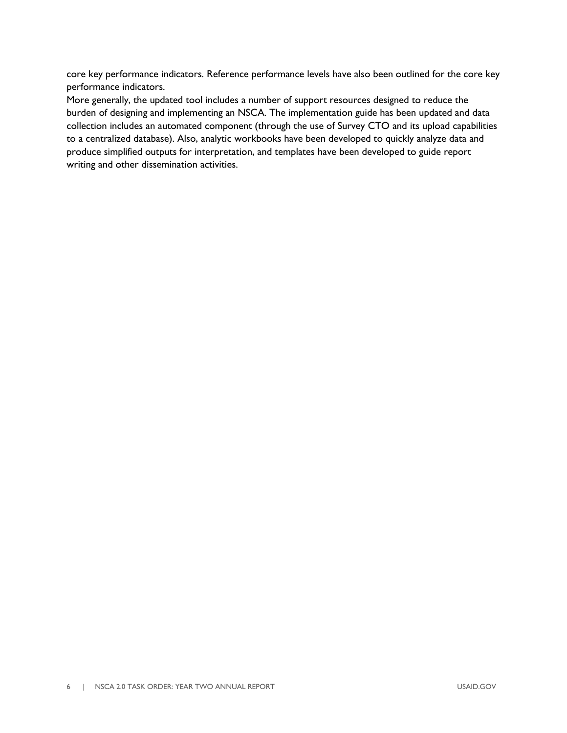core key performance indicators. Reference performance levels have also been outlined for the core key performance indicators.

More generally, the updated tool includes a number of support resources designed to reduce the burden of designing and implementing an NSCA. The implementation guide has been updated and data collection includes an automated component (through the use of Survey CTO and its upload capabilities to a centralized database). Also, analytic workbooks have been developed to quickly analyze data and produce simplified outputs for interpretation, and templates have been developed to guide report writing and other dissemination activities.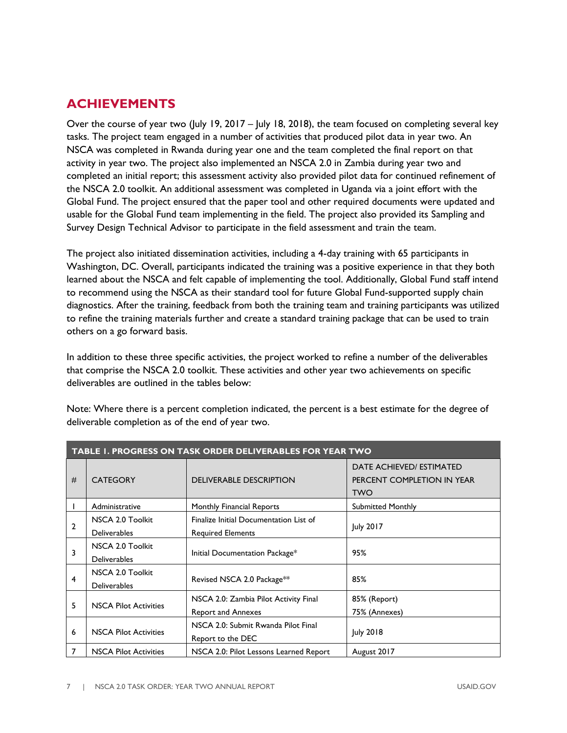# <span id="page-8-0"></span>**ACHIEVEMENTS**

Over the course of year two (July 19, 2017 – July 18, 2018), the team focused on completing several key tasks. The project team engaged in a number of activities that produced pilot data in year two. An NSCA was completed in Rwanda during year one and the team completed the final report on that activity in year two. The project also implemented an NSCA 2.0 in Zambia during year two and completed an initial report; this assessment activity also provided pilot data for continued refinement of the NSCA 2.0 toolkit. An additional assessment was completed in Uganda via a joint effort with the Global Fund. The project ensured that the paper tool and other required documents were updated and usable for the Global Fund team implementing in the field. The project also provided its Sampling and Survey Design Technical Advisor to participate in the field assessment and train the team.

The project also initiated dissemination activities, including a 4-day training with 65 participants in Washington, DC. Overall, participants indicated the training was a positive experience in that they both learned about the NSCA and felt capable of implementing the tool. Additionally, Global Fund staff intend to recommend using the NSCA as their standard tool for future Global Fund-supported supply chain diagnostics. After the training, feedback from both the training team and training participants was utilized to refine the training materials further and create a standard training package that can be used to train others on a go forward basis.

In addition to these three specific activities, the project worked to refine a number of the deliverables that comprise the NSCA 2.0 toolkit. These activities and other year two achievements on specific deliverables are outlined in the tables below:

| Note: Where there is a percent completion indicated, the percent is a best estimate for the degree of |  |
|-------------------------------------------------------------------------------------------------------|--|
| deliverable completion as of the end of year two.                                                     |  |

| <b>TABLE 1. PROGRESS ON TASK ORDER DELIVERABLES FOR YEAR TWO</b> |                                         |                                                                    |                                                                      |  |
|------------------------------------------------------------------|-----------------------------------------|--------------------------------------------------------------------|----------------------------------------------------------------------|--|
| #                                                                | <b>CATEGORY</b>                         | <b>DELIVERABLE DESCRIPTION</b>                                     | DATE ACHIEVED/ ESTIMATED<br>PERCENT COMPLETION IN YEAR<br><b>TWO</b> |  |
|                                                                  | Administrative                          | Monthly Financial Reports                                          | <b>Submitted Monthly</b>                                             |  |
| $\overline{2}$                                                   | NSCA 2.0 Toolkit<br><b>Deliverables</b> | Finalize Initial Documentation List of<br><b>Required Elements</b> | July 2017                                                            |  |
| 3                                                                | NSCA 2.0 Toolkit<br><b>Deliverables</b> | Initial Documentation Package*                                     | 95%                                                                  |  |
| 4                                                                | NSCA 2.0 Toolkit<br><b>Deliverables</b> | Revised NSCA 2.0 Package**                                         | 85%                                                                  |  |
| 5                                                                | <b>NSCA Pilot Activities</b>            | NSCA 2.0: Zambia Pilot Activity Final<br><b>Report and Annexes</b> | 85% (Report)<br>75% (Annexes)                                        |  |
| 6                                                                | <b>NSCA Pilot Activities</b>            | NSCA 2.0: Submit Rwanda Pilot Final<br>Report to the DEC           | July 2018                                                            |  |
| 7                                                                | <b>NSCA Pilot Activities</b>            | NSCA 2.0: Pilot Lessons Learned Report                             | August 2017                                                          |  |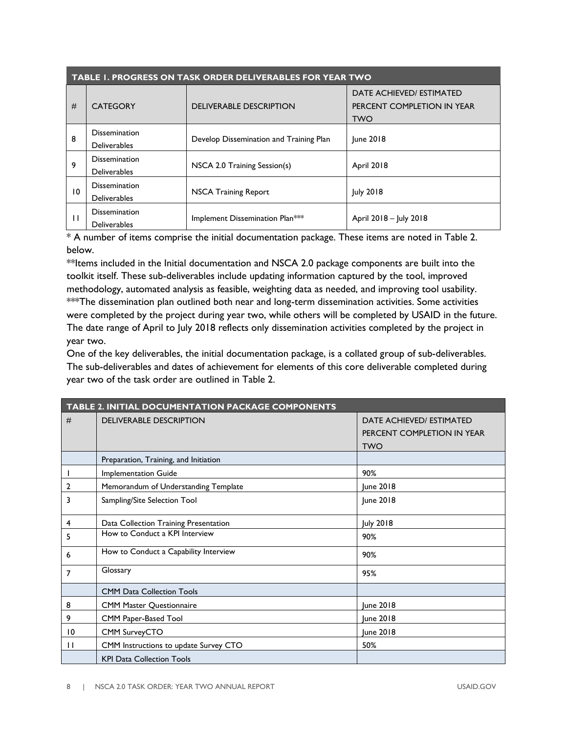| <b>TABLE I. PROGRESS ON TASK ORDER DELIVERABLES FOR YEAR TWO</b> |                                             |                                         |                                                                      |
|------------------------------------------------------------------|---------------------------------------------|-----------------------------------------|----------------------------------------------------------------------|
| #                                                                | <b>CATEGORY</b>                             | <b>DELIVERABLE DESCRIPTION</b>          | DATE ACHIEVED/ ESTIMATED<br>PERCENT COMPLETION IN YEAR<br><b>TWO</b> |
| 8                                                                | <b>Dissemination</b><br><b>Deliverables</b> | Develop Dissemination and Training Plan | June 2018                                                            |
| 9                                                                | <b>Dissemination</b><br><b>Deliverables</b> | NSCA 2.0 Training Session(s)            | April 2018                                                           |
| 10                                                               | <b>Dissemination</b><br><b>Deliverables</b> | <b>NSCA Training Report</b>             | <b>July 2018</b>                                                     |
|                                                                  | <b>Dissemination</b><br><b>Deliverables</b> | Implement Dissemination Plan***         | April 2018 - July 2018                                               |

\* A number of items comprise the initial documentation package. These items are noted in Table 2. below.

\*\*Items included in the Initial documentation and NSCA 2.0 package components are built into the toolkit itself. These sub-deliverables include updating information captured by the tool, improved methodology, automated analysis as feasible, weighting data as needed, and improving tool usability. \*\*\*The dissemination plan outlined both near and long-term dissemination activities. Some activities were completed by the project during year two, while others will be completed by USAID in the future. The date range of April to July 2018 reflects only dissemination activities completed by the project in year two.

One of the key deliverables, the initial documentation package, is a collated group of sub-deliverables. The sub-deliverables and dates of achievement for elements of this core deliverable completed during year two of the task order are outlined in Table 2.

| TABLE 2. INITIAL DOCUMENTATION PACKAGE COMPONENTS |                                       |                            |  |
|---------------------------------------------------|---------------------------------------|----------------------------|--|
| #                                                 | <b>DELIVERABLE DESCRIPTION</b>        | DATE ACHIEVED/ ESTIMATED   |  |
|                                                   |                                       | PERCENT COMPLETION IN YEAR |  |
|                                                   |                                       | <b>TWO</b>                 |  |
|                                                   | Preparation, Training, and Initiation |                            |  |
|                                                   | Implementation Guide                  | 90%                        |  |
| 2                                                 | Memorandum of Understanding Template  | June 2018                  |  |
| 3                                                 | Sampling/Site Selection Tool          | June 2018                  |  |
| 4                                                 | Data Collection Training Presentation | July 2018                  |  |
| 5                                                 | How to Conduct a KPI Interview        | 90%                        |  |
| 6                                                 | How to Conduct a Capability Interview | 90%                        |  |
| 7                                                 | Glossary                              | 95%                        |  |
|                                                   | <b>CMM Data Collection Tools</b>      |                            |  |
| 8                                                 | <b>CMM Master Questionnaire</b>       | June 2018                  |  |
| 9                                                 | CMM Paper-Based Tool                  | June 2018                  |  |
| 10                                                | CMM SurveyCTO                         | June 2018                  |  |
| $\mathbf{H}$                                      | CMM Instructions to update Survey CTO | 50%                        |  |
|                                                   | <b>KPI Data Collection Tools</b>      |                            |  |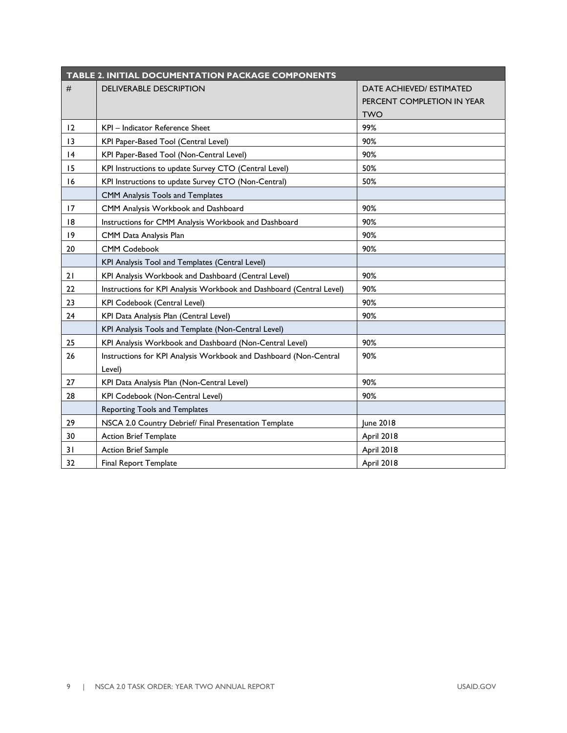| <b>TABLE 2. INITIAL DOCUMENTATION PACKAGE COMPONENTS</b> |                                                                      |                            |  |
|----------------------------------------------------------|----------------------------------------------------------------------|----------------------------|--|
| #                                                        | <b>DELIVERABLE DESCRIPTION</b>                                       | DATE ACHIEVED/ ESTIMATED   |  |
|                                                          |                                                                      | PERCENT COMPLETION IN YEAR |  |
|                                                          |                                                                      | <b>TWO</b>                 |  |
| 12                                                       | KPI - Indicator Reference Sheet                                      | 99%                        |  |
| 13                                                       | KPI Paper-Based Tool (Central Level)                                 | 90%                        |  |
| 4                                                        | KPI Paper-Based Tool (Non-Central Level)                             | 90%                        |  |
| 15                                                       | KPI Instructions to update Survey CTO (Central Level)<br>50%         |                            |  |
| 16                                                       | KPI Instructions to update Survey CTO (Non-Central)<br>50%           |                            |  |
|                                                          | CMM Analysis Tools and Templates                                     |                            |  |
| 17                                                       | CMM Analysis Workbook and Dashboard                                  | 90%                        |  |
| 18                                                       | Instructions for CMM Analysis Workbook and Dashboard                 | 90%                        |  |
| 9                                                        | 90%<br>CMM Data Analysis Plan                                        |                            |  |
| 20                                                       | <b>CMM Codebook</b>                                                  | 90%                        |  |
|                                                          | KPI Analysis Tool and Templates (Central Level)                      |                            |  |
| 21                                                       | KPI Analysis Workbook and Dashboard (Central Level)                  | 90%                        |  |
| 22                                                       | Instructions for KPI Analysis Workbook and Dashboard (Central Level) | 90%                        |  |
| 23                                                       | KPI Codebook (Central Level)                                         | 90%                        |  |
| 24                                                       | 90%<br>KPI Data Analysis Plan (Central Level)                        |                            |  |
|                                                          | KPI Analysis Tools and Template (Non-Central Level)                  |                            |  |
| 25                                                       | KPI Analysis Workbook and Dashboard (Non-Central Level)              | 90%                        |  |
| 26                                                       | Instructions for KPI Analysis Workbook and Dashboard (Non-Central    | 90%                        |  |
|                                                          | Level)                                                               |                            |  |
| 27                                                       | KPI Data Analysis Plan (Non-Central Level)                           | 90%                        |  |
| 28                                                       | KPI Codebook (Non-Central Level)                                     | 90%                        |  |
|                                                          | Reporting Tools and Templates                                        |                            |  |
| 29                                                       | NSCA 2.0 Country Debrief/ Final Presentation Template                | June 2018                  |  |
| 30                                                       | <b>Action Brief Template</b>                                         | April 2018                 |  |
| 31                                                       | <b>Action Brief Sample</b>                                           | April 2018                 |  |
| 32                                                       | Final Report Template                                                | April 2018                 |  |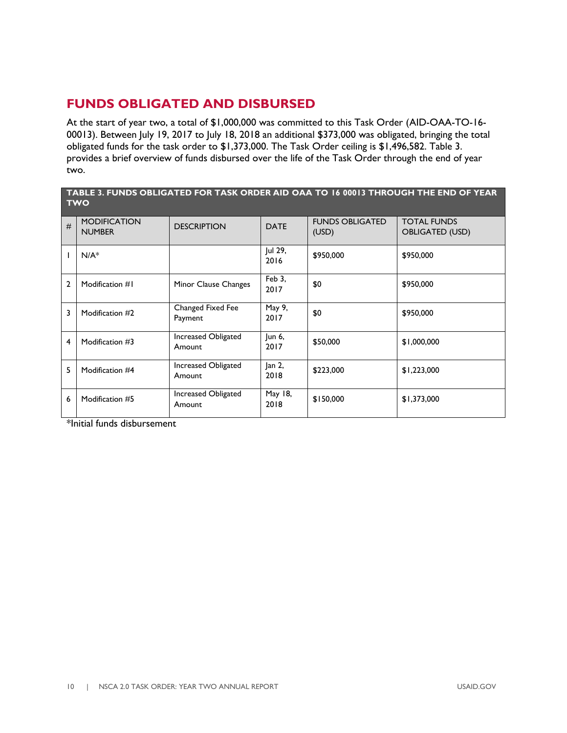# <span id="page-11-0"></span>**FUNDS OBLIGATED AND DISBURSED**

At the start of year two, a total of \$1,000,000 was committed to this Task Order (AID-OAA-TO-16- 00013). Between July 19, 2017 to July 18, 2018 an additional \$373,000 was obligated, bringing the total obligated funds for the task order to \$1,373,000. The Task Order ceiling is \$1,496,582. Table 3. provides a brief overview of funds disbursed over the life of the Task Order through the end of year two.

#### **TABLE 3. FUNDS OBLIGATED FOR TASK ORDER AID OAA TO 16 00013 THROUGH THE END OF YEAR TWO**

| # | <b>MODIFICATION</b><br><b>NUMBER</b> | <b>DESCRIPTION</b>            | <b>DATE</b>     | <b>FUNDS OBLIGATED</b><br>(USD) | <b>TOTAL FUNDS</b><br><b>OBLIGATED (USD)</b> |
|---|--------------------------------------|-------------------------------|-----------------|---------------------------------|----------------------------------------------|
|   | $N/A^*$                              |                               | Jul 29,<br>2016 | \$950,000                       | \$950,000                                    |
| 2 | Modification #1                      | Minor Clause Changes          | Feb 3,<br>2017  | \$0                             | \$950,000                                    |
| 3 | Modification #2                      | Changed Fixed Fee<br>Payment  | May 9,<br>2017  | \$0                             | \$950,000                                    |
| 4 | Modification #3                      | Increased Obligated<br>Amount | Jun 6,<br>2017  | \$50,000                        | \$1,000,000                                  |
| 5 | Modification #4                      | Increased Obligated<br>Amount | Jan 2,<br>2018  | \$223,000                       | \$1,223,000                                  |
| 6 | Modification #5                      | Increased Obligated<br>Amount | May 18,<br>2018 | \$150,000                       | \$1,373,000                                  |

\*Initial funds disbursement